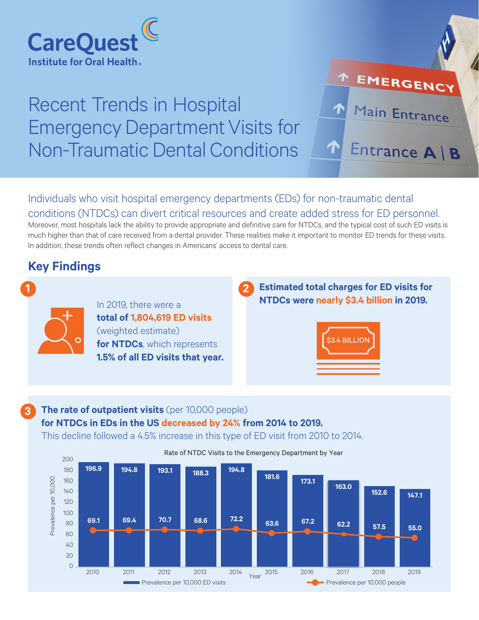

# Recent Trends in Hospital Emergency Department Visits for Non-Traumatic Dental Conditions

Individuals who visit hospital emergency departments (EDs) for non-traumatic dental conditions (NTDCs) can divert critical resources and create added stress for ED personnel.

Moreover, most hospitals lack the ability to provide appropriate and definitive care for NTDCs, and the typical cost of such ED visits is much higher than that of care received from a dental provider. These realities make it important to monitor ED trends for these visits. In addition, these trends often reflect changes in Americans' access to dental care.

# **Key Findings**



**3**

In 2019, there were a **total of 1,804,619 ED visits** (weighted estimate) **for NTDCs**, which represents **1.5% of all ED visits that year.** **Estimated total charges for ED visits for NTDCs were nearly \$3.4 billion in 2019.**

EMERGENCY

Main Entrance

Entrance A | B



## **The rate of outpatient visits** (per 10,000 people) **for NTDCs in EDs in the US decreased by 24% from 2014 to 2019.**

This decline followed a 4.5% increase in this type of ED visit from 2010 to 2014.



Rate of NTDC Visits to the Emergency Department by Year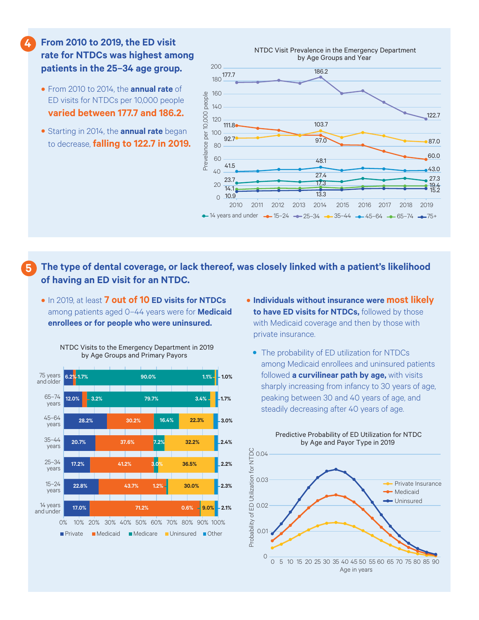### **From 2010 to 2019, the ED visit rate for NTDCs was highest among patients in the 25–34 age group.**

**4**

- From 2010 to 2014, the **annual rate** of ED visits for NTDCs per 10,000 people **varied between 177.7 and 186.2.**
- Starting in 2014, the **annual rate** began to decrease, **falling to 122.7 in 2019.**



#### **The type of dental coverage, or lack thereof, was closely linked with a patient's likelihood of having an ED visit for an NTDC. 5**

• In 2019, at least **7 out of 10 ED visits for NTDCs**  among patients aged 0–44 years were for **Medicaid enrollees or for people who were uninsured.**



- NTDC Visits to the Emergency Department in 2019 by Age Groups and Primary Payors
- **Individuals without insurance were most likely to have ED visits for NTDCs,** followed by those with Medicaid coverage and then by those with private insurance.
	- The probability of ED utilization for NTDCs among Medicaid enrollees and uninsured patients followed **a curvilinear path by age,** with visits sharply increasing from infancy to 30 years of age, peaking between 30 and 40 years of age, and steadily decreasing after 40 years of age.

Predictive Probability of ED Utilization for NTDC